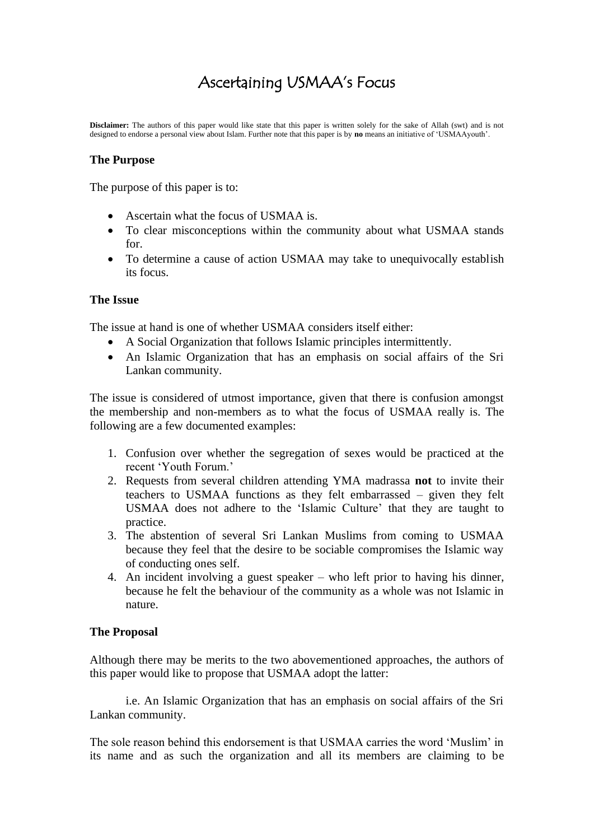# Ascertaining USMAA's Focus

**Disclaimer:** The authors of this paper would like state that this paper is written solely for the sake of Allah (swt) and is not designed to endorse a personal view about Islam. Further note that this paper is by **no** means an initiative of 'USMAAyouth'.

# **The Purpose**

The purpose of this paper is to:

- Ascertain what the focus of USMAA is.
- To clear misconceptions within the community about what USMAA stands for.
- To determine a cause of action USMAA may take to unequivocally establish its focus.

#### **The Issue**

The issue at hand is one of whether USMAA considers itself either:

- A Social Organization that follows Islamic principles intermittently.
- An Islamic Organization that has an emphasis on social affairs of the Sri Lankan community.

The issue is considered of utmost importance, given that there is confusion amongst the membership and non-members as to what the focus of USMAA really is. The following are a few documented examples:

- 1. Confusion over whether the segregation of sexes would be practiced at the recent 'Youth Forum.'
- 2. Requests from several children attending YMA madrassa **not** to invite their teachers to USMAA functions as they felt embarrassed – given they felt USMAA does not adhere to the 'Islamic Culture' that they are taught to practice.
- 3. The abstention of several Sri Lankan Muslims from coming to USMAA because they feel that the desire to be sociable compromises the Islamic way of conducting ones self.
- 4. An incident involving a guest speaker who left prior to having his dinner, because he felt the behaviour of the community as a whole was not Islamic in nature.

#### **The Proposal**

Although there may be merits to the two abovementioned approaches, the authors of this paper would like to propose that USMAA adopt the latter:

i.e. An Islamic Organization that has an emphasis on social affairs of the Sri Lankan community.

The sole reason behind this endorsement is that USMAA carries the word 'Muslim' in its name and as such the organization and all its members are claiming to be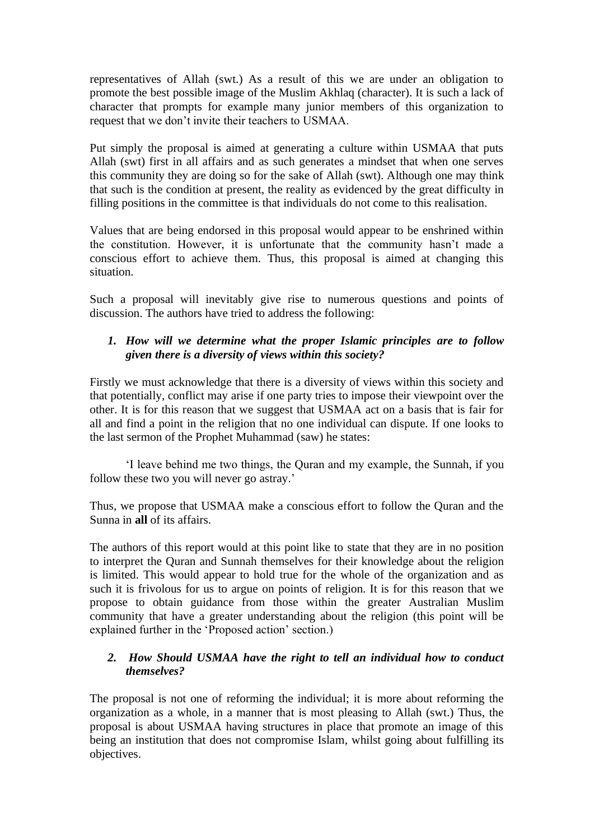representatives of Allah (swt.) As a result of this we are under an obligation to promote the best possible image of the Muslim Akhlaq (character). It is such a lack of character that prompts for example many junior members of this organization to request that we don't invite their teachers to USMAA.

Put simply the proposal is aimed at generating a culture within USMAA that puts Allah (swt) first in all affairs and as such generates a mindset that when one serves this community they are doing so for the sake of Allah (swt). Although one may think that such is the condition at present, the reality as evidenced by the great difficulty in filling positions in the committee is that individuals do not come to this realisation.

Values that are being endorsed in this proposal would appear to be enshrined within the constitution. However, it is unfortunate that the community hasn't made a conscious effort to achieve them. Thus, this proposal is aimed at changing this situation.

Such a proposal will inevitably give rise to numerous questions and points of discussion. The authors have tried to address the following:

## *1. How will we determine what the proper Islamic principles are to follow given there is a diversity of views within this society?*

Firstly we must acknowledge that there is a diversity of views within this society and that potentially, conflict may arise if one party tries to impose their viewpoint over the other. It is for this reason that we suggest that USMAA act on a basis that is fair for all and find a point in the religion that no one individual can dispute. If one looks to the last sermon of the Prophet Muhammad (saw) he states:

'I leave behind me two things, the Quran and my example, the Sunnah, if you follow these two you will never go astray.'

Thus, we propose that USMAA make a conscious effort to follow the Quran and the Sunna in **all** of its affairs.

The authors of this report would at this point like to state that they are in no position to interpret the Quran and Sunnah themselves for their knowledge about the religion is limited. This would appear to hold true for the whole of the organization and as such it is frivolous for us to argue on points of religion. It is for this reason that we propose to obtain guidance from those within the greater Australian Muslim community that have a greater understanding about the religion (this point will be explained further in the 'Proposed action' section.)

# *2. How Should USMAA have the right to tell an individual how to conduct themselves?*

The proposal is not one of reforming the individual; it is more about reforming the organization as a whole, in a manner that is most pleasing to Allah (swt.) Thus, the proposal is about USMAA having structures in place that promote an image of this being an institution that does not compromise Islam, whilst going about fulfilling its objectives.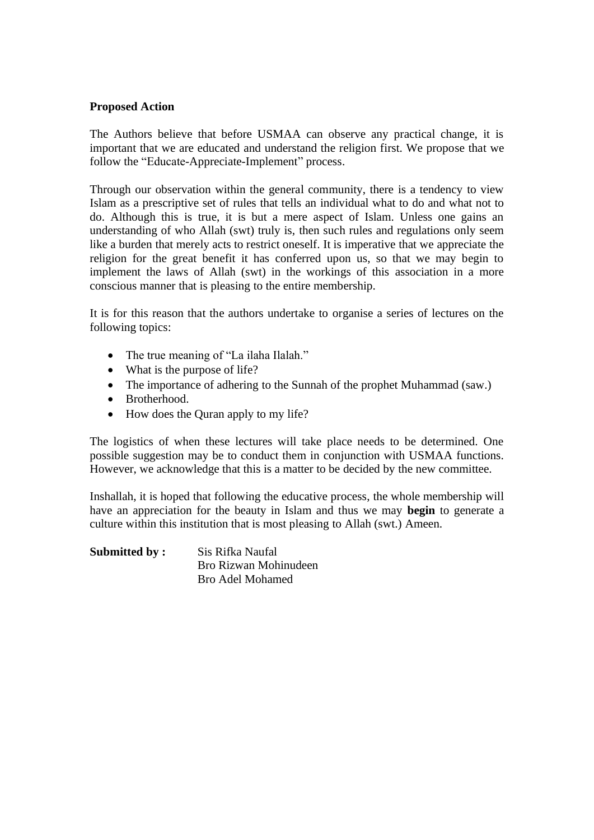#### **Proposed Action**

The Authors believe that before USMAA can observe any practical change, it is important that we are educated and understand the religion first. We propose that we follow the "Educate-Appreciate-Implement" process.

Through our observation within the general community, there is a tendency to view Islam as a prescriptive set of rules that tells an individual what to do and what not to do. Although this is true, it is but a mere aspect of Islam. Unless one gains an understanding of who Allah (swt) truly is, then such rules and regulations only seem like a burden that merely acts to restrict oneself. It is imperative that we appreciate the religion for the great benefit it has conferred upon us, so that we may begin to implement the laws of Allah (swt) in the workings of this association in a more conscious manner that is pleasing to the entire membership.

It is for this reason that the authors undertake to organise a series of lectures on the following topics:

- The true meaning of "La ilaha Ilalah."
- What is the purpose of life?
- The importance of adhering to the Sunnah of the prophet Muhammad (saw.)
- Brotherhood.
- How does the Quran apply to my life?

The logistics of when these lectures will take place needs to be determined. One possible suggestion may be to conduct them in conjunction with USMAA functions. However, we acknowledge that this is a matter to be decided by the new committee.

Inshallah, it is hoped that following the educative process, the whole membership will have an appreciation for the beauty in Islam and thus we may **begin** to generate a culture within this institution that is most pleasing to Allah (swt.) Ameen.

**Submitted by:** Sis Rifka Naufal Bro Rizwan Mohinudeen Bro Adel Mohamed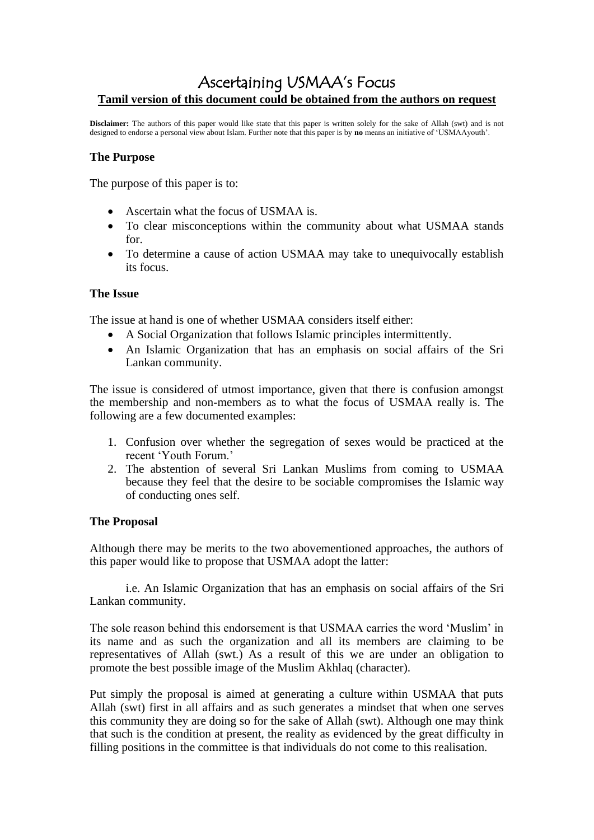# Ascertaining USMAA's Focus **Tamil version of this document could be obtained from the authors on request**

**Disclaimer:** The authors of this paper would like state that this paper is written solely for the sake of Allah (swt) and is not designed to endorse a personal view about Islam. Further note that this paper is by **no** means an initiative of 'USMAAyouth'.

#### **The Purpose**

The purpose of this paper is to:

- Ascertain what the focus of USMAA is.
- To clear misconceptions within the community about what USMAA stands for.
- To determine a cause of action USMAA may take to unequivocally establish its focus.

#### **The Issue**

The issue at hand is one of whether USMAA considers itself either:

- A Social Organization that follows Islamic principles intermittently.
- An Islamic Organization that has an emphasis on social affairs of the Sri Lankan community.

The issue is considered of utmost importance, given that there is confusion amongst the membership and non-members as to what the focus of USMAA really is. The following are a few documented examples:

- 1. Confusion over whether the segregation of sexes would be practiced at the recent 'Youth Forum.'
- 2. The abstention of several Sri Lankan Muslims from coming to USMAA because they feel that the desire to be sociable compromises the Islamic way of conducting ones self.

# **The Proposal**

Although there may be merits to the two abovementioned approaches, the authors of this paper would like to propose that USMAA adopt the latter:

i.e. An Islamic Organization that has an emphasis on social affairs of the Sri Lankan community.

The sole reason behind this endorsement is that USMAA carries the word 'Muslim' in its name and as such the organization and all its members are claiming to be representatives of Allah (swt.) As a result of this we are under an obligation to promote the best possible image of the Muslim Akhlaq (character).

Put simply the proposal is aimed at generating a culture within USMAA that puts Allah (swt) first in all affairs and as such generates a mindset that when one serves this community they are doing so for the sake of Allah (swt). Although one may think that such is the condition at present, the reality as evidenced by the great difficulty in filling positions in the committee is that individuals do not come to this realisation.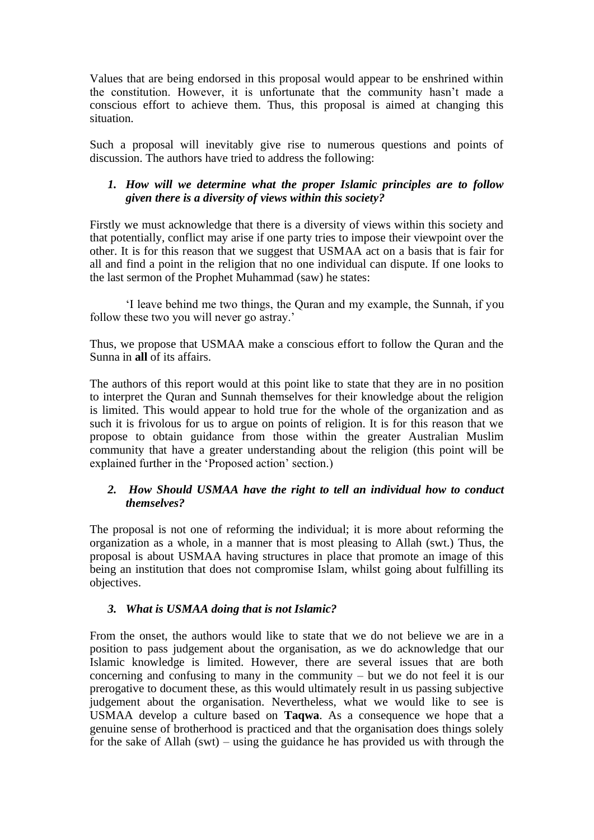Values that are being endorsed in this proposal would appear to be enshrined within the constitution. However, it is unfortunate that the community hasn't made a conscious effort to achieve them. Thus, this proposal is aimed at changing this situation.

Such a proposal will inevitably give rise to numerous questions and points of discussion. The authors have tried to address the following:

# *1. How will we determine what the proper Islamic principles are to follow given there is a diversity of views within this society?*

Firstly we must acknowledge that there is a diversity of views within this society and that potentially, conflict may arise if one party tries to impose their viewpoint over the other. It is for this reason that we suggest that USMAA act on a basis that is fair for all and find a point in the religion that no one individual can dispute. If one looks to the last sermon of the Prophet Muhammad (saw) he states:

'I leave behind me two things, the Quran and my example, the Sunnah, if you follow these two you will never go astray.'

Thus, we propose that USMAA make a conscious effort to follow the Quran and the Sunna in **all** of its affairs.

The authors of this report would at this point like to state that they are in no position to interpret the Quran and Sunnah themselves for their knowledge about the religion is limited. This would appear to hold true for the whole of the organization and as such it is frivolous for us to argue on points of religion. It is for this reason that we propose to obtain guidance from those within the greater Australian Muslim community that have a greater understanding about the religion (this point will be explained further in the 'Proposed action' section.)

#### *2. How Should USMAA have the right to tell an individual how to conduct themselves?*

The proposal is not one of reforming the individual; it is more about reforming the organization as a whole, in a manner that is most pleasing to Allah (swt.) Thus, the proposal is about USMAA having structures in place that promote an image of this being an institution that does not compromise Islam, whilst going about fulfilling its objectives.

# *3. What is USMAA doing that is not Islamic?*

From the onset, the authors would like to state that we do not believe we are in a position to pass judgement about the organisation, as we do acknowledge that our Islamic knowledge is limited. However, there are several issues that are both concerning and confusing to many in the community – but we do not feel it is our prerogative to document these, as this would ultimately result in us passing subjective judgement about the organisation. Nevertheless, what we would like to see is USMAA develop a culture based on **Taqwa**. As a consequence we hope that a genuine sense of brotherhood is practiced and that the organisation does things solely for the sake of Allah (swt) – using the guidance he has provided us with through the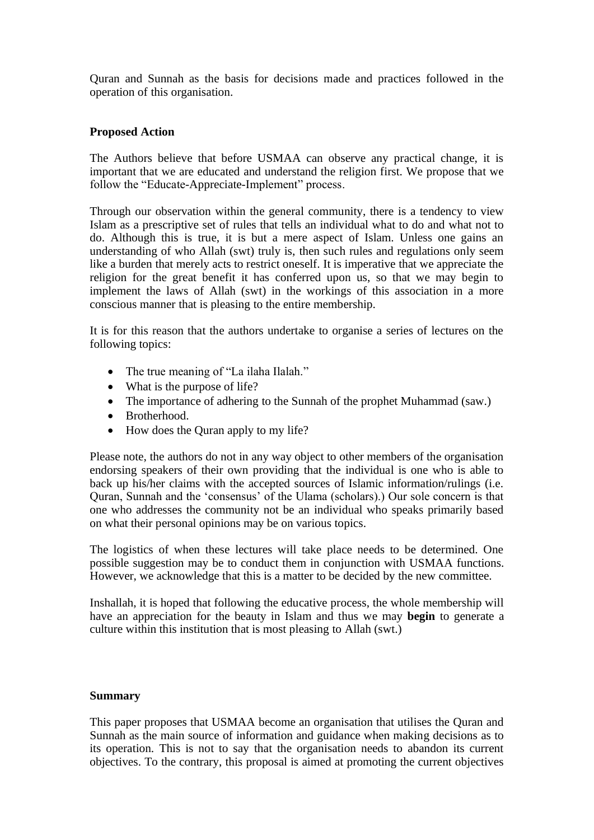Quran and Sunnah as the basis for decisions made and practices followed in the operation of this organisation.

#### **Proposed Action**

The Authors believe that before USMAA can observe any practical change, it is important that we are educated and understand the religion first. We propose that we follow the "Educate-Appreciate-Implement" process.

Through our observation within the general community, there is a tendency to view Islam as a prescriptive set of rules that tells an individual what to do and what not to do. Although this is true, it is but a mere aspect of Islam. Unless one gains an understanding of who Allah (swt) truly is, then such rules and regulations only seem like a burden that merely acts to restrict oneself. It is imperative that we appreciate the religion for the great benefit it has conferred upon us, so that we may begin to implement the laws of Allah (swt) in the workings of this association in a more conscious manner that is pleasing to the entire membership.

It is for this reason that the authors undertake to organise a series of lectures on the following topics:

- The true meaning of "La ilaha Ilalah."
- What is the purpose of life?
- The importance of adhering to the Sunnah of the prophet Muhammad (saw.)
- Brotherhood.
- How does the Quran apply to my life?

Please note, the authors do not in any way object to other members of the organisation endorsing speakers of their own providing that the individual is one who is able to back up his/her claims with the accepted sources of Islamic information/rulings (i.e. Quran, Sunnah and the 'consensus' of the Ulama (scholars).) Our sole concern is that one who addresses the community not be an individual who speaks primarily based on what their personal opinions may be on various topics.

The logistics of when these lectures will take place needs to be determined. One possible suggestion may be to conduct them in conjunction with USMAA functions. However, we acknowledge that this is a matter to be decided by the new committee.

Inshallah, it is hoped that following the educative process, the whole membership will have an appreciation for the beauty in Islam and thus we may **begin** to generate a culture within this institution that is most pleasing to Allah (swt.)

#### **Summary**

This paper proposes that USMAA become an organisation that utilises the Quran and Sunnah as the main source of information and guidance when making decisions as to its operation. This is not to say that the organisation needs to abandon its current objectives. To the contrary, this proposal is aimed at promoting the current objectives